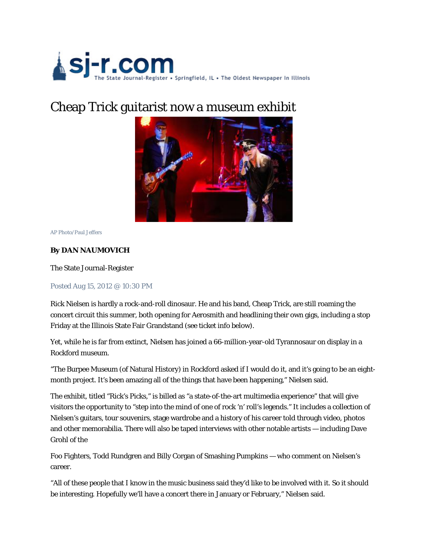

## Cheap Trick guitarist now a museum exhibit



AP Photo/Paul Jeffers

## **By DAN NAUMOVICH**

The State Journal-Register

Posted Aug 15, 2012 @ 10:30 PM

Rick Nielsen is hardly a rock-and-roll dinosaur. He and his band, Cheap Trick, are still roaming the concert circuit this summer, both opening for Aerosmith and headlining their own gigs, including a stop Friday at the Illinois State Fair Grandstand (see ticket info below).

Yet, while he is far from extinct, Nielsen has joined a 66-million-year-old Tyrannosaur on display in a Rockford museum.

"The Burpee Museum (of Natural History) in Rockford asked if I would do it, and it's going to be an eightmonth project. It's been amazing all of the things that have been happening," Nielsen said.

The exhibit, titled "Rick's Picks," is billed as "a state-of-the-art multimedia experience" that will give visitors the opportunity to "step into the mind of one of rock 'n' roll's legends." It includes a collection of Nielsen's guitars, tour souvenirs, stage wardrobe and a history of his career told through video, photos and other memorabilia. There will also be taped interviews with other notable artists — including Dave Grohl of the

Foo Fighters, Todd Rundgren and Billy Corgan of Smashing Pumpkins — who comment on Nielsen's career.

"All of these people that I know in the music business said they'd like to be involved with it. So it should be interesting. Hopefully we'll have a concert there in January or February," Nielsen said.